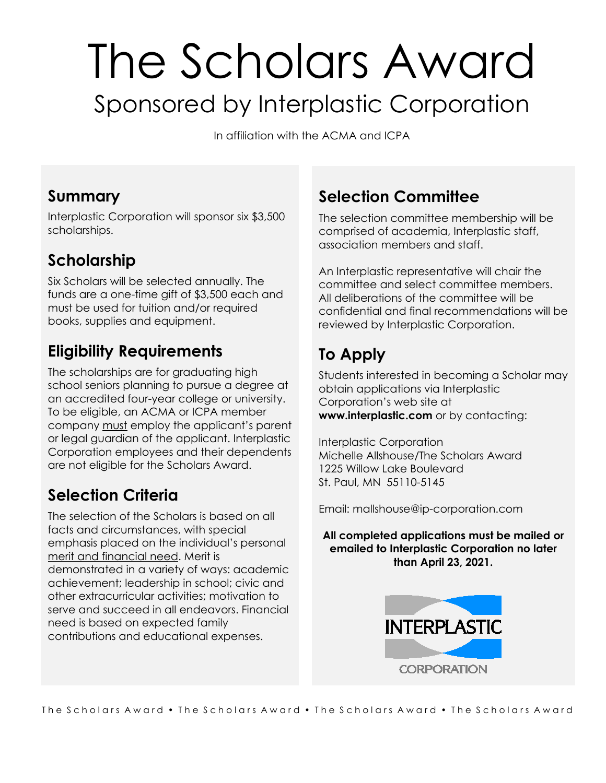# The Scholars Award Sponsored by Interplastic Corporation

In affiliation with the ACMA and ICPA

## **Summary**

Interplastic Corporation will sponsor six \$3,500 scholarships.

# **Scholarship**

Six Scholars will be selected annually. The funds are a one-time gift of \$3,500 each and must be used for tuition and/or required books, supplies and equipment.

# **Eligibility Requirements**

The scholarships are for graduating high school seniors planning to pursue a degree at an accredited four-year college or university. To be eligible, an ACMA or ICPA member company must employ the applicant's parent or legal guardian of the applicant. Interplastic Corporation employees and their dependents are not eligible for the Scholars Award.

# **Selection Criteria**

The selection of the Scholars is based on all facts and circumstances, with special emphasis placed on the individual's personal merit and financial need. Merit is demonstrated in a variety of ways: academic achievement; leadership in school; civic and other extracurricular activities; motivation to serve and succeed in all endeavors. Financial need is based on expected family contributions and educational expenses.

# **Selection Committee**

The selection committee membership will be comprised of academia, Interplastic staff, association members and staff.

An Interplastic representative will chair the committee and select committee members. All deliberations of the committee will be confidential and final recommendations will be reviewed by Interplastic Corporation.

# **To Apply**

Students interested in becoming a Scholar may obtain applications via Interplastic Corporation's web site at **[www.interplastic.com](http://www.interplastic.com/)** or by contacting:

Interplastic Corporation Michelle Allshouse/The Scholars Award 1225 Willow Lake Boulevard St. Paul, MN 55110-5145

Email: mallshouse@ip-corporation.com

**All completed applications must be mailed or emailed to Interplastic Corporation no later than April 23, 2021.**

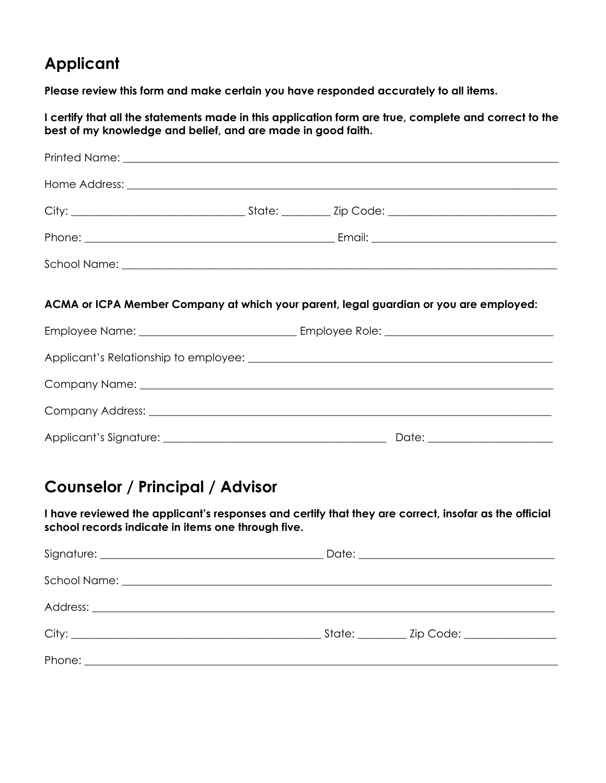# **Applicant**

**Please review this form and make certain you have responded accurately to all items.**

**I certify that all the statements made in this application form are true, complete and correct to the best of my knowledge and belief, and are made in good faith.**

|  | ACMA or ICPA Member Company at which your parent, legal guardian or you are employed: |
|--|---------------------------------------------------------------------------------------|
|  |                                                                                       |
|  |                                                                                       |
|  |                                                                                       |
|  |                                                                                       |

# **Counselor / Principal / Advisor**

**I have reviewed the applicant's responses and certify that they are correct, insofar as the official school records indicate in items one through five.**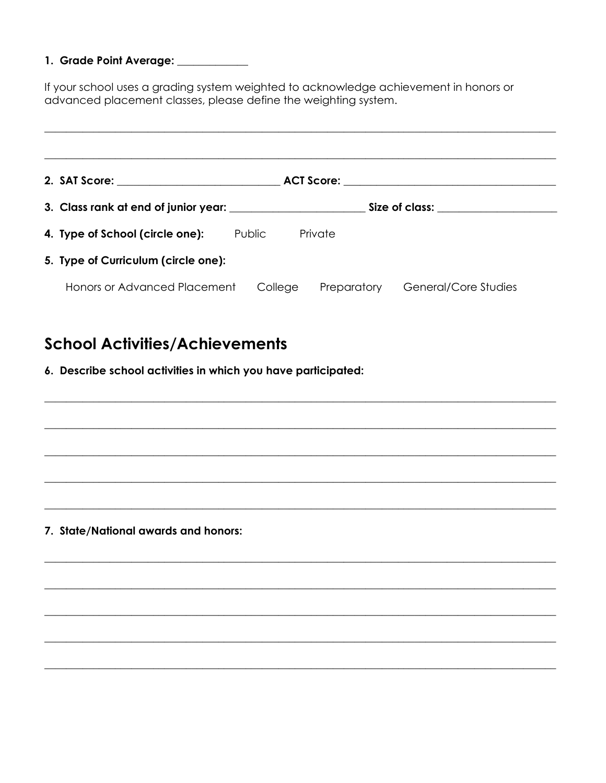#### 1. Grade Point Average: \_\_\_\_\_\_\_\_\_

If your school uses a grading system weighted to acknowledge achievement in honors or advanced placement classes, please define the weighting system.

|  | 4. Type of School (circle one):     | Public  | Private |                    |                      |
|--|-------------------------------------|---------|---------|--------------------|----------------------|
|  | 5. Type of Curriculum (circle one): |         |         |                    |                      |
|  | Honors or Advanced Placement        | College |         | <b>Preparatory</b> | General/Core Studies |

## **School Activities/Achievements**

6. Describe school activities in which you have participated:

7. State/National awards and honors: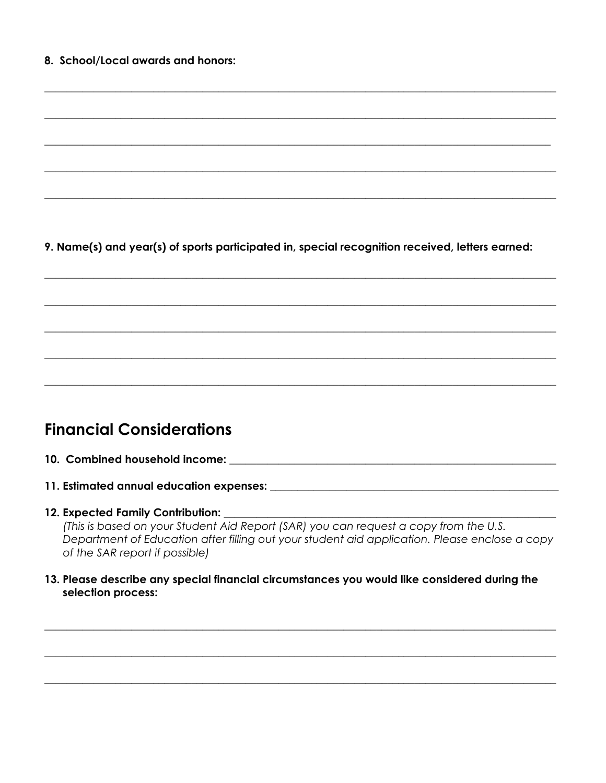9. Name(s) and year(s) of sports participated in, special recognition received, letters earned:

## **Financial Considerations**

- 
- 

#### 12. Expected Family Contribution:

(This is based on your Student Aid Report (SAR) you can request a copy from the U.S. Department of Education after filling out your student aid application. Please enclose a copy of the SAR report if possible)

13. Please describe any special financial circumstances you would like considered during the selection process: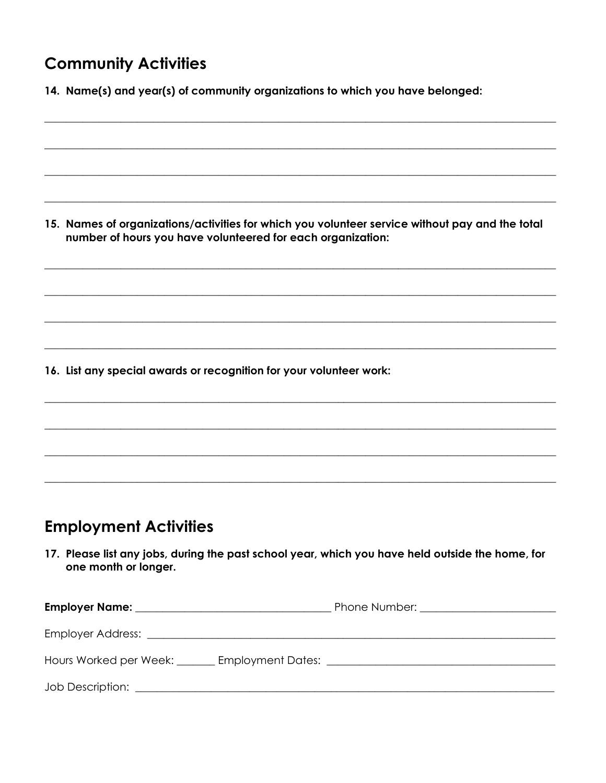## **Community Activities**

|  |  | 14. Name(s) and year(s) of community organizations to which you have belonged: |  |  |  |
|--|--|--------------------------------------------------------------------------------|--|--|--|
|--|--|--------------------------------------------------------------------------------|--|--|--|

15. Names of organizations/activities for which you volunteer service without pay and the total number of hours you have volunteered for each organization:

16. List any special awards or recognition for your volunteer work:

## **Employment Activities**

17. Please list any jobs, during the past school year, which you have held outside the home, for one month or longer.

| Hours Worked per Week: _______ Employment Dates: _______________________________ |  |
|----------------------------------------------------------------------------------|--|
|                                                                                  |  |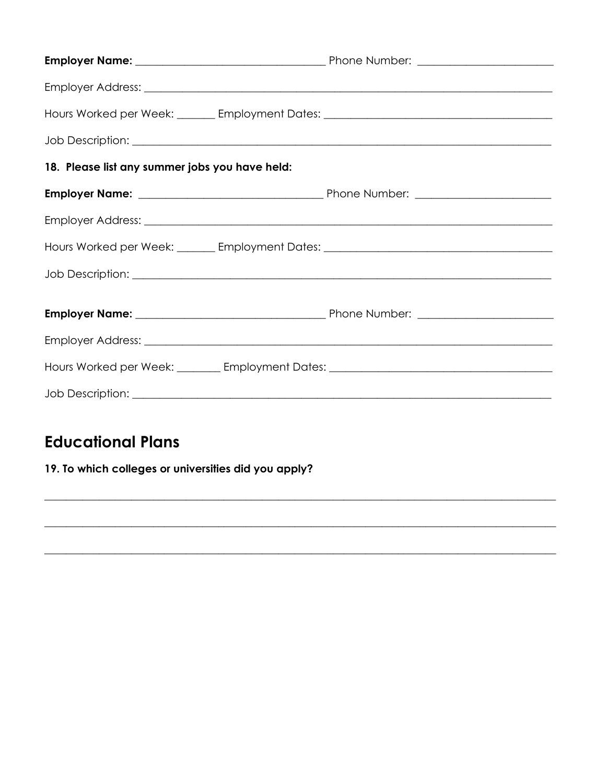| Hours Worked per Week: _______ Employment Dates: _______________________________ |  |
|----------------------------------------------------------------------------------|--|
|                                                                                  |  |
| 18. Please list any summer jobs you have held:                                   |  |
|                                                                                  |  |
|                                                                                  |  |
| Hours Worked per Week: _______ Employment Dates: _______________________________ |  |
|                                                                                  |  |
|                                                                                  |  |
|                                                                                  |  |
| Hours Worked per Week: ________ Employment Dates: ______________________________ |  |
|                                                                                  |  |

## **Educational Plans**

#### 19. To which colleges or universities did you apply?